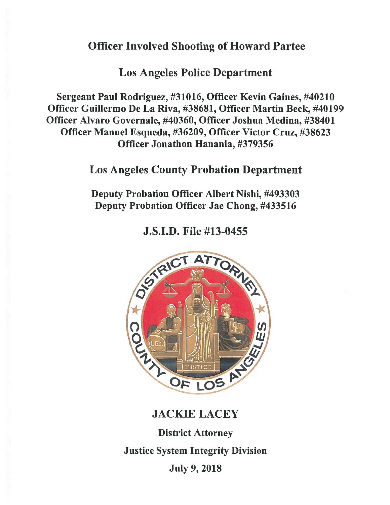## **Officer Involved Shooting of Howard Partee**

**Los Angeles Police Department** 

Sergeant Paul Rodriguez, #31016, Officer Kevin Gaines, #40210 Officer Guillermo De La Riva, #38681, Officer Martin Beck, #40199 Officer Alvaro Governale, #40360, Officer Joshua Medina, #38401 Officer Manuel Esqueda, #36209, Officer Victor Cruz, #38623 Officer Jonathon Hanania, #379356

**Los Angeles County Probation Department** 

**Deputy Probation Officer Albert Nishi, #493303** Deputy Probation Officer Jae Chong, #433516

**J.S.I.D. File #13-0455** 



# **JACKIE LACEY**

**District Attorney Justice System Integrity Division** 

**July 9, 2018**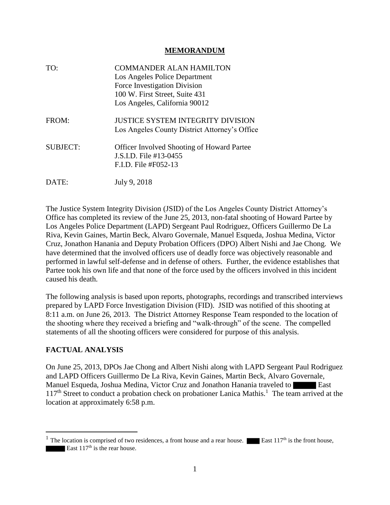#### **MEMORANDUM**

| TO:             | <b>COMMANDER ALAN HAMILTON</b><br>Los Angeles Police Department<br>Force Investigation Division<br>100 W. First Street, Suite 431<br>Los Angeles, California 90012 |
|-----------------|--------------------------------------------------------------------------------------------------------------------------------------------------------------------|
| FROM:           | <b>JUSTICE SYSTEM INTEGRITY DIVISION</b><br>Los Angeles County District Attorney's Office                                                                          |
| <b>SUBJECT:</b> | <b>Officer Involved Shooting of Howard Partee</b><br>J.S.I.D. File #13-0455<br>F.I.D. File #F052-13                                                                |
| DATE:           | July 9, 2018                                                                                                                                                       |

The Justice System Integrity Division (JSID) of the Los Angeles County District Attorney's Office has completed its review of the June 25, 2013, non-fatal shooting of Howard Partee by Los Angeles Police Department (LAPD) Sergeant Paul Rodriguez, Officers Guillermo De La Riva, Kevin Gaines, Martin Beck, Alvaro Governale, Manuel Esqueda, Joshua Medina, Victor Cruz, Jonathon Hanania and Deputy Probation Officers (DPO) Albert Nishi and Jae Chong. We have determined that the involved officers use of deadly force was objectively reasonable and performed in lawful self-defense and in defense of others. Further, the evidence establishes that Partee took his own life and that none of the force used by the officers involved in this incident caused his death.

The following analysis is based upon reports, photographs, recordings and transcribed interviews prepared by LAPD Force Investigation Division (FID). JSID was notified of this shooting at 8:11 a.m. on June 26, 2013. The District Attorney Response Team responded to the location of the shooting where they received a briefing and "walk-through" of the scene. The compelled statements of all the shooting officers were considered for purpose of this analysis.

#### **FACTUAL ANALYSIS**

On June 25, 2013, DPOs Jae Chong and Albert Nishi along with LAPD Sergeant Paul Rodriguez and LAPD Officers Guillermo De La Riva, Kevin Gaines, Martin Beck, Alvaro Governale, Manuel Esqueda, Joshua Medina, Victor Cruz and Jonathon Hanania traveled to **East** 117<sup>th</sup> Street to conduct a probation check on probationer Lanica Mathis.<sup>1</sup> The team arrived at the location at approximately 6:58 p.m.

<sup>&</sup>lt;sup>1</sup> The location is comprised of two residences, a front house and a rear house. East  $117<sup>th</sup>$  is the front house, East  $117<sup>th</sup>$  is the rear house.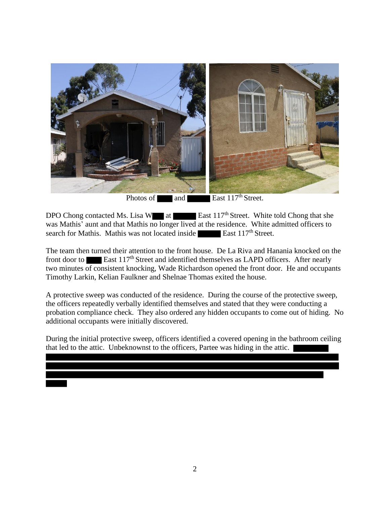

Photos of and East 117<sup>th</sup> Street.

DPO Chong contacted Ms. Lisa W at East  $117<sup>th</sup>$  Street. White told Chong that she was Mathis' aunt and that Mathis no longer lived at the residence. White admitted officers to search for Mathis. Mathis was not located inside East 117<sup>th</sup> Street.

The team then turned their attention to the front house. De La Riva and Hanania knocked on the front door to **East 117<sup>th</sup>** Street and identified themselves as LAPD officers. After nearly two minutes of consistent knocking, Wade Richardson opened the front door. He and occupants Timothy Larkin, Kelian Faulkner and Shelnae Thomas exited the house.

A protective sweep was conducted of the residence. During the course of the protective sweep, the officers repeatedly verbally identified themselves and stated that they were conducting a probation compliance check. They also ordered any hidden occupants to come out of hiding. No additional occupants were initially discovered.

During the initial protective sweep, officers identified a covered opening in the bathroom ceiling that led to the attic. Unbeknownst to the officers, Partee was hiding in the attic.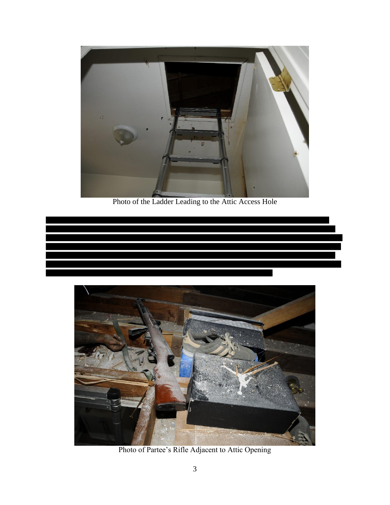

Photo of the Ladder Leading to the Attic Access Hole





Photo of Partee's Rifle Adjacent to Attic Opening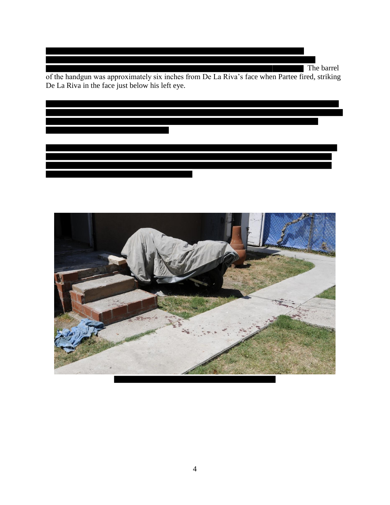The barrel of the handgun was approximately six inches from De La Riva's face when Partee fired, striking De La Riva in the face just below his left eye.



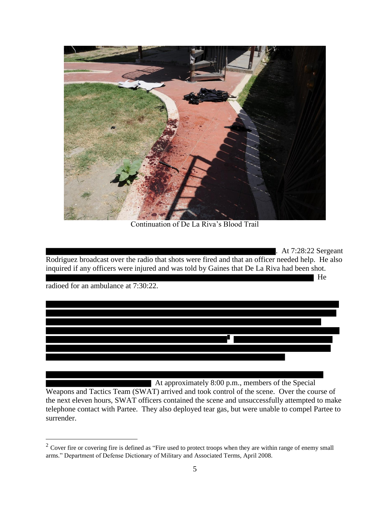

Continuation of De La Riva's Blood Trail

. At 7:28:22 Sergeant Rodriguez broadcast over the radio that shots were fired and that an officer needed help. He also inquired if any officers were injured and was told by Gaines that De La Riva had been shot. He

radioed for an ambulance at 7:30:22.

 $\overline{a}$ 



At approximately 8:00 p.m., members of the Special

Weapons and Tactics Team (SWAT) arrived and took control of the scene. Over the course of the next eleven hours, SWAT officers contained the scene and unsuccessfully attempted to make telephone contact with Partee. They also deployed tear gas, but were unable to compel Partee to surrender.

 $2^2$  Cover fire or covering fire is defined as "Fire used to protect troops when they are within range of enemy small arms." Department of Defense Dictionary of Military and Associated Terms, April 2008.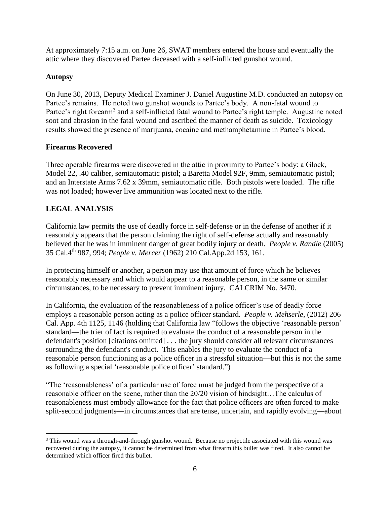At approximately 7:15 a.m. on June 26, SWAT members entered the house and eventually the attic where they discovered Partee deceased with a self-inflicted gunshot wound.

### **Autopsy**

On June 30, 2013, Deputy Medical Examiner J. Daniel Augustine M.D. conducted an autopsy on Partee's remains. He noted two gunshot wounds to Partee's body. A non-fatal wound to Partee's right forearm<sup>3</sup> and a self-inflicted fatal wound to Partee's right temple. Augustine noted soot and abrasion in the fatal wound and ascribed the manner of death as suicide. Toxicology results showed the presence of marijuana, cocaine and methamphetamine in Partee's blood.

### **Firearms Recovered**

Three operable firearms were discovered in the attic in proximity to Partee's body: a Glock, Model 22, .40 caliber, semiautomatic pistol; a Baretta Model 92F, 9mm, semiautomatic pistol; and an Interstate Arms 7.62 x 39mm, semiautomatic rifle. Both pistols were loaded. The rifle was not loaded; however live ammunition was located next to the rifle.

## **LEGAL ANALYSIS**

California law permits the use of deadly force in self-defense or in the defense of another if it reasonably appears that the person claiming the right of self-defense actually and reasonably believed that he was in imminent danger of great bodily injury or death. *People v. Randle* (2005) 35 Cal.4th 987, 994; *People v. Mercer* (1962) 210 Cal.App.2d 153, 161.

In protecting himself or another, a person may use that amount of force which he believes reasonably necessary and which would appear to a reasonable person, in the same or similar circumstances, to be necessary to prevent imminent injury. CALCRIM No. 3470.

In California, the evaluation of the reasonableness of a police officer's use of deadly force employs a reasonable person acting as a police officer standard. *People v. Mehserle*, (2012) 206 Cal. App. 4th 1125, 1146 (holding that California law "follows the objective 'reasonable person' standard—the trier of fact is required to evaluate the conduct of a reasonable person in the defendant's position [citations omitted] . . . the jury should consider all relevant circumstances surrounding the defendant's conduct. This enables the jury to evaluate the conduct of a reasonable person functioning as a police officer in a stressful situation—but this is not the same as following a special 'reasonable police officer' standard.")

"The 'reasonableness' of a particular use of force must be judged from the perspective of a reasonable officer on the scene, rather than the 20/20 vision of hindsight…The calculus of reasonableness must embody allowance for the fact that police officers are often forced to make split-second judgments—in circumstances that are tense, uncertain, and rapidly evolving—about

 $\overline{a}$ <sup>3</sup> This wound was a through-and-through gunshot wound. Because no projectile associated with this wound was recovered during the autopsy, it cannot be determined from what firearm this bullet was fired. It also cannot be determined which officer fired this bullet.